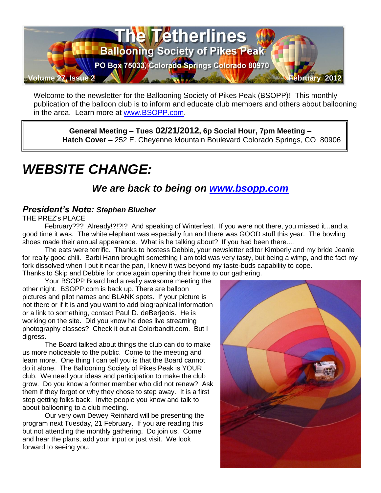

Welcome to the newsletter for the Ballooning Society of Pikes Peak (BSOPP)! This monthly publication of the balloon club is to inform and educate club members and others about ballooning in the area. Learn more at [www.BSOPP.com.](http://www.bsopp.com/)

**General Meeting – Tues 02/21/2012, 6p Social Hour, 7pm Meeting – Hatch Cover –** 252 E. Cheyenne Mountain Boulevard Colorado Springs, CO 80906

# *WEBSITE CHANGE:*

# *We are back to being on [www.bsopp.com](http://www.bsopp.com/)*

#### *President's Note: Stephen Blucher*

THE PREZ's PLACE

February??? Already!?!?!? And speaking of Winterfest. If you were not there, you missed it...and a good time it was. The white elephant was especially fun and there was GOOD stuff this year. The bowling shoes made their annual appearance. What is he talking about? If you had been there....

The eats were terrific. Thanks to hostess Debbie, your newsletter editor Kimberly and my bride Jeanie for really good chili. Barbi Hann brought something I am told was very tasty, but being a wimp, and the fact my fork dissolved when I put it near the pan, I knew it was beyond my taste-buds capability to cope. Thanks to Skip and Debbie for once again opening their home to our gathering.

Your BSOPP Board had a really awesome meeting the

other night. BSOPP.com is back up. There are balloon pictures and pilot names and BLANK spots. If your picture is not there or if it is and you want to add biographical information or a link to something, contact Paul D. deBerjeois. He is working on the site. Did you know he does live streaming photography classes? Check it out at Colorbandit.com. But I digress.

The Board talked about things the club can do to make us more noticeable to the public. Come to the meeting and learn more. One thing I can tell you is that the Board cannot do it alone. The Ballooning Society of Pikes Peak is YOUR club. We need your ideas and participation to make the club grow. Do you know a former member who did not renew? Ask them if they forgot or why they chose to step away. It is a first step getting folks back. Invite people you know and talk to about ballooning to a club meeting.

Our very own Dewey Reinhard will be presenting the program next Tuesday, 21 February. If you are reading this but not attending the monthly gathering. Do join us. Come and hear the plans, add your input or just visit. We look forward to seeing you.

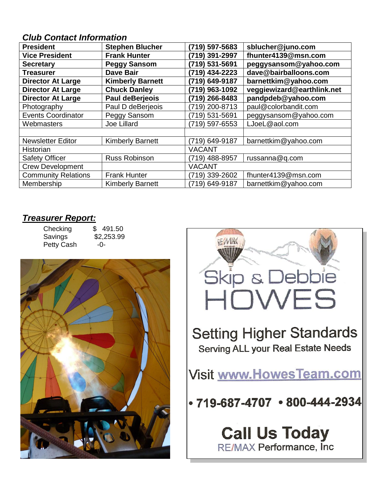#### *Club Contact Information*

| <b>President</b>           | <b>Stephen Blucher</b>  | (719) 597-5683 | sblucher@juno.com          |
|----------------------------|-------------------------|----------------|----------------------------|
| <b>Vice President</b>      | <b>Frank Hunter</b>     | (719) 391-2997 | fhunter4139@msn.com        |
| <b>Secretary</b>           | <b>Peggy Sansom</b>     | (719) 531-5691 | peggysansom@yahoo.com      |
| <b>Treasurer</b>           | <b>Dave Bair</b>        | (719) 434-2223 | dave@bairballoons.com      |
| <b>Director At Large</b>   | <b>Kimberly Barnett</b> | (719) 649-9187 | barnettkim@yahoo.com       |
| <b>Director At Large</b>   | <b>Chuck Danley</b>     | (719) 963-1092 | veggiewizard@earthlink.net |
| <b>Director At Large</b>   | Paul deBerjeois         | (719) 266-8483 | pandpdeb@yahoo.com         |
| Photography                | Paul D deBerjeois       | (719) 200-8713 | paul@colorbandit.com       |
| <b>Events Coordinator</b>  | Peggy Sansom            | (719) 531-5691 | peggysansom@yahoo.com      |
| Webmasters                 | Joe Lillard             | (719) 597-6553 | LJoeL@aol.com              |
|                            |                         |                |                            |
| <b>Newsletter Editor</b>   | <b>Kimberly Barnett</b> | (719) 649-9187 | barnettkim@yahoo.com       |
| <b>Historian</b>           |                         | <b>VACANT</b>  |                            |
| <b>Safety Officer</b>      | <b>Russ Robinson</b>    | (719) 488-8957 | russanna@q.com             |
| <b>Crew Development</b>    |                         | <b>VACANT</b>  |                            |
| <b>Community Relations</b> | <b>Frank Hunter</b>     | (719) 339-2602 | fhunter4139@msn.com        |
| Membership                 | <b>Kimberly Barnett</b> | (719) 649-9187 | barnettkim@yahoo.com       |

#### *Treasurer Report:*

Checking \$ 491.50<br>Savings \$2,253.99 Petty Cash -0-

 $$2,253.99$ 



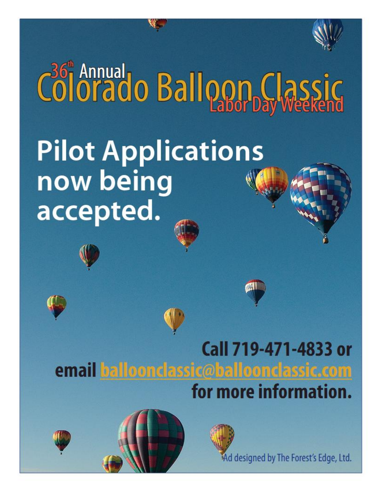

# Colorado Balloon Classic **Pilot Applications** now being accepted.







Ad designed by The Forest's Edge, Ltd.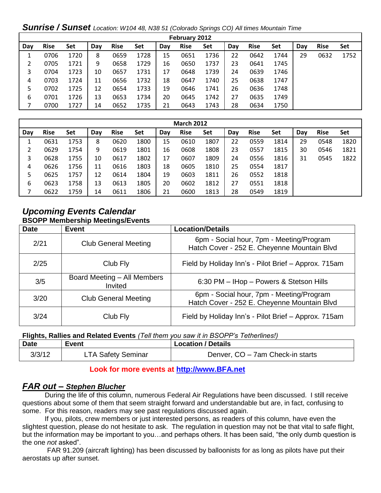*Sunrise / Sunset Location: W104 48, N38 51 (Colorado Springs CO) All times Mountain Time*

| February 2012 |             |      |     |             |      |     |             |      |     |             |      |     |             |      |
|---------------|-------------|------|-----|-------------|------|-----|-------------|------|-----|-------------|------|-----|-------------|------|
| Day           | <b>Rise</b> | Set  | Day | <b>Rise</b> | Set  | Day | <b>Rise</b> | Set  | Dav | <b>Rise</b> | Set  | Dav | <b>Rise</b> | Set  |
|               | 0706        | 1720 | 8   | 0659        | 1728 | 15  | 0651        | 1736 | 22  | 0642        | 1744 | 29  | 0632        | 1752 |
|               | 0705        | 1721 | 9   | 0658        | 1729 | 16  | 0650        | 1737 | 23  | 0641        | 1745 |     |             |      |
| 3             | 0704        | 1723 | 10  | 0657        | 1731 | 17  | 0648        | 1739 | 24  | 0639        | 1746 |     |             |      |
| 4             | 0703        | 1724 | 11  | 0656        | 1732 | 18  | 0647        | 1740 | 25  | 0638        | 1747 |     |             |      |
| 5             | 0702        | 1725 | 12  | 0654        | 1733 | 19  | 0646        | 1741 | 26  | 0636        | 1748 |     |             |      |
| 6             | 0701        | 1726 | 13  | 0653        | 1734 | 20  | 0645        | 1742 | 27  | 0635        | 1749 |     |             |      |
|               | 0700        | 1727 | 14  | 0652        | 1735 | 21  | 0643        | 1743 | 28  | 0634        | 1750 |     |             |      |

| <b>March 2012</b> |             |      |     |             |      |     |             |      |     |             |      |     |             |      |
|-------------------|-------------|------|-----|-------------|------|-----|-------------|------|-----|-------------|------|-----|-------------|------|
| Day               | <b>Rise</b> | Set  | Day | <b>Rise</b> | Set  | Day | <b>Rise</b> | Set  | Dav | <b>Rise</b> | Set  | Day | <b>Rise</b> | Set  |
|                   | 0631        | 1753 | 8   | 0620        | 1800 | 15  | 0610        | 1807 | 22  | 0559        | 1814 | 29  | 0548        | 1820 |
|                   | 0629        | 1754 | 9   | 0619        | 1801 | 16  | 0608        | 1808 | 23  | 0557        | 1815 | 30  | 0546        | 1821 |
| 3                 | 0628        | 1755 | 10  | 0617        | 1802 | 17  | 0607        | 1809 | 24  | 0556        | 1816 | 31  | 0545        | 1822 |
| 4                 | 0626        | 1756 | 11  | 0616        | 1803 | 18  | 0605        | 1810 | 25  | 0554        | 1817 |     |             |      |
| 5                 | 0625        | 1757 | 12  | 0614        | 1804 | 19  | 0603        | 1811 | 26  | 0552        | 1818 |     |             |      |
| 6                 | 0623        | 1758 | 13  | 0613        | 1805 | 20  | 0602        | 1812 | 27  | 0551        | 1818 |     |             |      |
|                   | 0622        | 1759 | 14  | 0611        | 1806 | 21  | 0600        | 1813 | 28  | 0549        | 1819 |     |             |      |

#### *Upcoming Events Calendar*  **BSOPP Membership Meetings/Events**

| <b>Date</b> | <b>Event</b>                           | <b>Location/Details</b>                                                                 |
|-------------|----------------------------------------|-----------------------------------------------------------------------------------------|
| 2/21        | <b>Club General Meeting</b>            | 6pm - Social hour, 7pm - Meeting/Program<br>Hatch Cover - 252 E. Cheyenne Mountain Blvd |
| 2/25        | Club Fly                               | Field by Holiday Inn's - Pilot Brief - Approx. 715am                                    |
| 3/5         | Board Meeting - All Members<br>Invited | 6:30 PM - IHop - Powers & Stetson Hills                                                 |
| 3/20        | <b>Club General Meeting</b>            | 6pm - Social hour, 7pm - Meeting/Program<br>Hatch Cover - 252 E. Cheyenne Mountain Blvd |
| 3/24        | Club Fly                               | Field by Holiday Inn's - Pilot Brief - Approx. 715am                                    |

**Flights, Rallies and Related Events** *(Tell them you saw it in BSOPP's Tetherlines!)* 

| <b>Date</b> | Event                     | Location / Details               |
|-------------|---------------------------|----------------------------------|
| 3/3/12      | <b>LTA Safety Seminar</b> | Denver, CO - 7am Check-in starts |

#### **Look for more events at [http://www.BFA.net](http://www.bfa.net/)**

#### *FAR out – Stephen Blucher*

During the life of this column, numerous Federal Air Regulations have been discussed. I still receive questions about some of them that seem straight forward and understandable but are, in fact, confusing to some. For this reason, readers may see past regulations discussed again.

If you, pilots, crew members or just interested persons, as readers of this column, have even the slightest question, please do not hesitate to ask. The regulation in question may not be that vital to safe flight, but the information may be important to you…and perhaps others. It has been said, "the only dumb question is the one *not* asked".

 FAR 91.209 (aircraft lighting) has been discussed by balloonists for as long as pilots have put their aerostats up after sunset.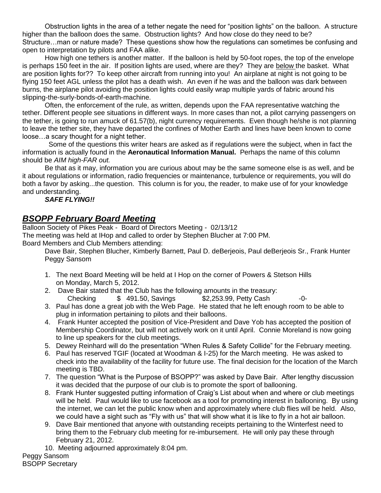Obstruction lights in the area of a tether negate the need for "position lights" on the balloon. A structure higher than the balloon does the same. Obstruction lights? And how close do they need to be? Structure…man or nature made? These questions show how the regulations can sometimes be confusing and open to interpretation by pilots and FAA alike.

How high one tethers is another matter. If the balloon is held by 50-foot ropes, the top of the envelope is perhaps 150 feet in the air. If position lights are used, where are they? They are below the basket. What are position lights for?? To keep other aircraft from running into you! An airplane at night is not going to be flying 150 feet AGL unless the pilot has a death wish. An even if he was and the balloon was dark between burns, the airplane pilot avoiding the position lights could easily wrap multiple yards of fabric around his slipping-the-surly-bonds-of-earth-machine.

Often, the enforcement of the rule, as written, depends upon the FAA representative watching the tether. Different people see situations in different ways. In more cases than not, a pilot carrying passengers on the tether, is going to run amuck of 61.57(b), night currency requirements. Even though he/she is not planning to leave the tether site, they have departed the confines of Mother Earth and lines have been known to come loose…a scary thought for a night tether.

 Some of the questions this writer hears are asked as if regulations were the subject, when in fact the information is actually found in the **Aeronautical Information Manual.** Perhaps the name of this column should be *AIM high-FAR out.*

Be that as it may, information you are curious about may be the same someone else is as well, and be it about regulations or information, radio frequencies or maintenance, turbulence or requirements, you will do both a favor by asking...the question. This column is for you, the reader, to make use of for your knowledge and understanding.

#### *SAFE FLYING!!*

#### *BSOPP February Board Meeting*

Balloon Society of Pikes Peak - Board of Directors Meeting - 02/13/12 The meeting was held at IHop and called to order by Stephen Blucher at 7:00 PM. Board Members and Club Members attending:

Dave Bair, Stephen Blucher, Kimberly Barnett, Paul D. deBerjeois, Paul deBerjeois Sr., Frank Hunter Peggy Sansom

- 1. The next Board Meeting will be held at I Hop on the corner of Powers & Stetson Hills on Monday, March 5, 2012.
- 2. Dave Bair stated that the Club has the following amounts in the treasury:  $\text{Checking} \qquad \text{\$} \quad 491.50, \text{Savinas} \qquad \text{\$} \quad 2.253.99, \text{Petty Cash} \qquad \text{\textdegree}-0$
- 3. Paul has done a great job with the Web Page. He stated that he left enough room to be able to plug in information pertaining to pilots and their balloons.
- 4. Frank Hunter accepted the position of Vice-President and Dave Yob has accepted the position of Membership Coordinator, but will not actively work on it until April. Connie Moreland is now going to line up speakers for the club meetings.
- 5. Dewey Reinhard will do the presentation "When Rules & Safety Collide" for the February meeting.
- 6. Paul has reserved TGIF (located at Woodman & I-25) for the March meeting. He was asked to check into the availability of the facility for future use. The final decision for the location of the March meeting is TBD.
- 7. The question "What is the Purpose of BSOPP?" was asked by Dave Bair. After lengthy discussion it was decided that the purpose of our club is to promote the sport of ballooning.
- 8. Frank Hunter suggested putting information of Craig's List about when and where or club meetings will be held. Paul would like to use facebook as a tool for promoting interest in ballooning. By using the internet, we can let the public know when and approximately where club flies will be held. Also, we could have a sight such as "Fly with us" that will show what it is like to fly in a hot air balloon.
- 9. Dave Bair mentioned that anyone with outstanding receipts pertaining to the Winterfest need to bring them to the February club meeting for re-imbursement. He will only pay these through February 21, 2012.
- 10. Meeting adjourned approximately 8:04 pm.

Peggy Sansom BSOPP Secretary